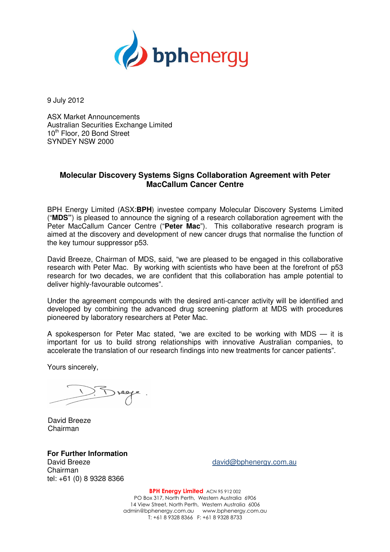

9 July 2012

ASX Market Announcements Australian Securities Exchange Limited 10<sup>th</sup> Floor, 20 Bond Street SYNDEY NSW 2000

## **Molecular Discovery Systems Signs Collaboration Agreement with Peter MacCallum Cancer Centre**

BPH Energy Limited (ASX:**BPH**) investee company Molecular Discovery Systems Limited ("**MDS"**) is pleased to announce the signing of a research collaboration agreement with the Peter MacCallum Cancer Centre ("**Peter Mac**"). This collaborative research program is aimed at the discovery and development of new cancer drugs that normalise the function of the key tumour suppressor p53.

David Breeze, Chairman of MDS, said, "we are pleased to be engaged in this collaborative research with Peter Mac. By working with scientists who have been at the forefront of p53 research for two decades, we are confident that this collaboration has ample potential to deliver highly-favourable outcomes".

Under the agreement compounds with the desired anti-cancer activity will be identified and developed by combining the advanced drug screening platform at MDS with procedures pioneered by laboratory researchers at Peter Mac.

A spokesperson for Peter Mac stated, "we are excited to be working with MDS — it is important for us to build strong relationships with innovative Australian companies, to accelerate the translation of our research findings into new treatments for cancer patients".

Yours sincerely,

 David Breeze Chairman

**For Further Information**  Chairman tel: +61 (0) 8 9328 8366

David Breeze david@bphenergy.com.au

BPH Energy Limited ACN 95 912 002 PO Box 317, North Perth, Western Australia 6906 14 View Street, North Perth, Western Australia 6006 admin@bphenergy.com.au www.bphenergy.com.au T: +61 8 9328 8366 F: +61 8 9328 8733